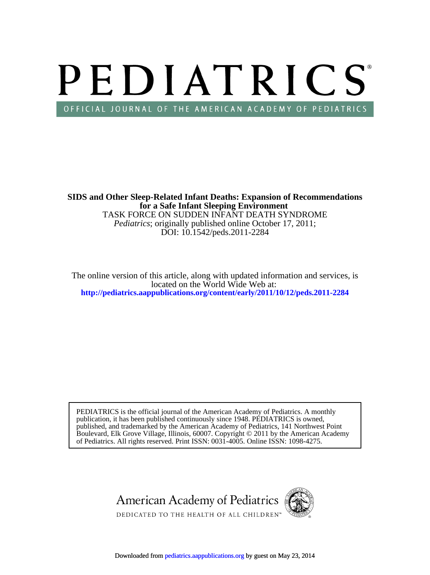# PEDIATRICS OFFICIAL JOURNAL OF THE AMERICAN ACADEMY OF PEDIATRICS

DOI: 10.1542/peds.2011-2284 *Pediatrics*; originally published online October 17, 2011; TASK FORCE ON SUDDEN INFANT DEATH SYNDROME **for a Safe Infant Sleeping Environment SIDS and Other Sleep-Related Infant Deaths: Expansion of Recommendations**

**<http://pediatrics.aappublications.org/content/early/2011/10/12/peds.2011-2284>** located on the World Wide Web at: The online version of this article, along with updated information and services, is

of Pediatrics. All rights reserved. Print ISSN: 0031-4005. Online ISSN: 1098-4275. Boulevard, Elk Grove Village, Illinois, 60007. Copyright © 2011 by the American Academy published, and trademarked by the American Academy of Pediatrics, 141 Northwest Point publication, it has been published continuously since 1948. PEDIATRICS is owned, PEDIATRICS is the official journal of the American Academy of Pediatrics. A monthly

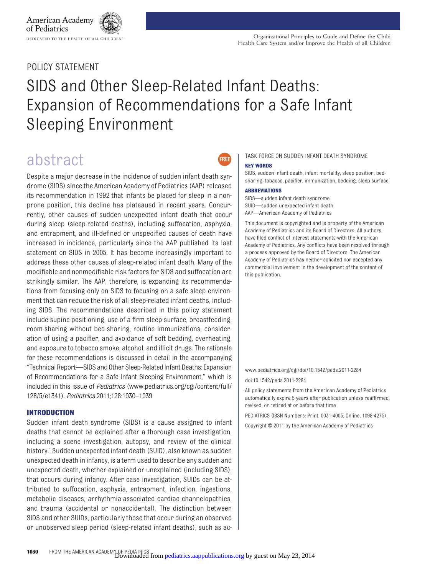### POLICY STATEMENT

DEDICATED TO THE HEALTH OF ALL CHILDREN

American Academy of Pediatrics

# SIDS and Other Sleep-Related Infant Deaths: Expansion of Recommendations for a Safe Infant Sleeping Environment

## abstract

Despite a major decrease in the incidence of sudden infant death syndrome (SIDS) since the American Academy of Pediatrics (AAP) released its recommendation in 1992 that infants be placed for sleep in a nonprone position, this decline has plateaued in recent years. Concurrently, other causes of sudden unexpected infant death that occur during sleep (sleep-related deaths), including suffocation, asphyxia, and entrapment, and ill-defined or unspecified causes of death have increased in incidence, particularly since the AAP published its last statement on SIDS in 2005. It has become increasingly important to address these other causes of sleep-related infant death. Many of the modifiable and nonmodifiable risk factors for SIDS and suffocation are strikingly similar. The AAP, therefore, is expanding its recommendations from focusing only on SIDS to focusing on a safe sleep environment that can reduce the risk of all sleep-related infant deaths, including SIDS. The recommendations described in this policy statement include supine positioning, use of a firm sleep surface, breastfeeding, room-sharing without bed-sharing, routine immunizations, consideration of using a pacifier, and avoidance of soft bedding, overheating, and exposure to tobacco smoke, alcohol, and illicit drugs. The rationale for these recommendations is discussed in detail in the accompanying "Technical Report—SIDS and Other Sleep-Related Infant Deaths: Expansion of Recommendations for a Safe Infant Sleeping Environment," which is included in this issue of *Pediatrics* (www.pediatrics.org/cgi/content/full/ 128/5/e1341). *Pediatrics* 2011;128:1030–1039

#### **INTRODUCTION**

Sudden infant death syndrome (SIDS) is a cause assigned to infant deaths that cannot be explained after a thorough case investigation, including a scene investigation, autopsy, and review of the clinical history[.1](#page-7-0) Sudden unexpected infant death (SUID), also known as sudden unexpected death in infancy, is a term used to describe any sudden and unexpected death, whether explained or unexplained (including SIDS), that occurs during infancy. After case investigation, SUIDs can be attributed to suffocation, asphyxia, entrapment, infection, ingestions, metabolic diseases, arrhythmia-associated cardiac channelopathies, and trauma (accidental or nonaccidental). The distinction between SIDS and other SUIDs, particularly those that occur during an observed or unobserved sleep period (sleep-related infant deaths), such as ac-

#### TASK FORCE ON SUDDEN INFANT DEATH SYNDROME

#### **KEY WORDS**

FREE

SIDS, sudden infant death, infant mortality, sleep position, bedsharing, tobacco, pacifier, immunization, bedding, sleep surface

#### **ABBREVIATIONS**

SIDS—sudden infant death syndrome SUID—sudden unexpected infant death AAP—American Academy of Pediatrics

This document is copyrighted and is property of the American Academy of Pediatrics and its Board of Directors. All authors have filed conflict of interest statements with the American Academy of Pediatrics. Any conflicts have been resolved through a process approved by the Board of Directors. The American Academy of Pediatrics has neither solicited nor accepted any commercial involvement in the development of the content of this publication.

www.pediatrics.org/cgi/doi/10.1542/peds.2011-2284

doi:10.1542/peds.2011-2284

All policy statements from the American Academy of Pediatrics automatically expire 5 years after publication unless reaffirmed, revised, or retired at or before that time.

PEDIATRICS (ISSN Numbers: Print, 0031-4005; Online, 1098-4275).

Copyright © 2011 by the American Academy of Pediatrics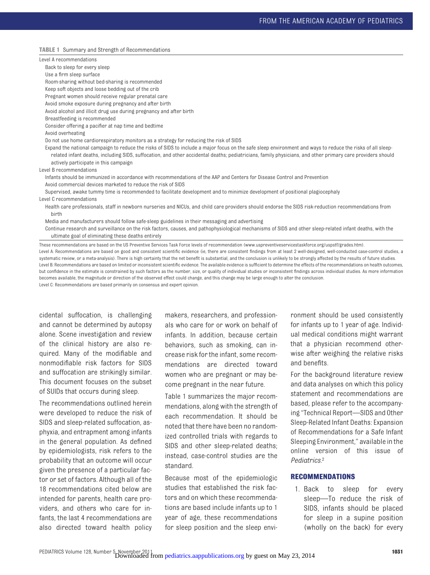#### <span id="page-2-0"></span>**TABLE 1** Summary and Strength of Recommendations

| Level A recommendations                                                                                                                                                                                                                                                                                                                                           |
|-------------------------------------------------------------------------------------------------------------------------------------------------------------------------------------------------------------------------------------------------------------------------------------------------------------------------------------------------------------------|
| Back to sleep for every sleep                                                                                                                                                                                                                                                                                                                                     |
| Use a firm sleep surface                                                                                                                                                                                                                                                                                                                                          |
| Room-sharing without bed-sharing is recommended                                                                                                                                                                                                                                                                                                                   |
| Keep soft objects and loose bedding out of the crib                                                                                                                                                                                                                                                                                                               |
| Pregnant women should receive regular prenatal care                                                                                                                                                                                                                                                                                                               |
| Avoid smoke exposure during pregnancy and after birth                                                                                                                                                                                                                                                                                                             |
| Avoid alcohol and illicit drug use during pregnancy and after birth                                                                                                                                                                                                                                                                                               |
| Breastfeeding is recommended                                                                                                                                                                                                                                                                                                                                      |
| Consider offering a pacifier at nap time and bedtime                                                                                                                                                                                                                                                                                                              |
| Avoid overheating                                                                                                                                                                                                                                                                                                                                                 |
| Do not use home cardiorespiratory monitors as a strategy for reducing the risk of SIDS                                                                                                                                                                                                                                                                            |
| Expand the national campaign to reduce the risks of SIDS to include a major focus on the safe sleep environment and ways to reduce the risks of all sleep-<br>related infant deaths, including SIDS, suffocation, and other accidental deaths; pediatricians, family physicians, and other primary care providers should<br>actively participate in this campaign |
| Level B recommendations                                                                                                                                                                                                                                                                                                                                           |
| Infants should be immunized in accordance with recommendations of the AAP and Centers for Disease Control and Prevention<br>Avoid commercial devices marketed to reduce the risk of SIDS                                                                                                                                                                          |
| Supervised, awake tummy time is recommended to facilitate development and to minimize development of positional plagiocephaly                                                                                                                                                                                                                                     |
| Level C recommendations                                                                                                                                                                                                                                                                                                                                           |
| Health care professionals, staff in newborn nurseries and NICUs, and child care providers should endorse the SIDS risk-reduction recommendations from                                                                                                                                                                                                             |
| birth                                                                                                                                                                                                                                                                                                                                                             |
| Media and manufacturers should follow safe-sleep guidelines in their messaging and advertising                                                                                                                                                                                                                                                                    |
| Continue research and surveillance on the risk factors, causes, and pathophysiological mechanisms of SIDS and other sleep-related infant deaths, with the<br>ultimate goal of eliminating these deaths entirely                                                                                                                                                   |
| These recommendations are based on the US Preventive Services Task Force levels of recommendation (www.uspreventiveservicestaskforce.org/uspstf/grades.htm).                                                                                                                                                                                                      |
| Level A: Recommendations are based on good and consistent scientific evidence (ie, there are consistent findings from at least 2 well-designed, well-conducted case-control studies, a                                                                                                                                                                            |

systematic review, or a meta-analysis). There is high certainty that the net benefit is substantial, and the conclusion is unlikely to be strongly affected by the results of future studies. Level B: Recommendations are based on limited or inconsistent scientific evidence. The available evidence is sufficient to determine the effects of the recommendations on health outcomes, but confidence in the estimate is constrained by such factors as the number, size, or quality of individual studies or inconsistent findings across individual studies. As more information becomes available, the magnitude or direction of the observed effect could change, and this change may be large enough to alter the conclusion.

Level C: Recommendations are based primarily on consensus and expert opinion.

cidental suffocation, is challenging and cannot be determined by autopsy alone. Scene investigation and review of the clinical history are also required. Many of the modifiable and nonmodifiable risk factors for SIDS and suffocation are strikingly similar. This document focuses on the subset of SUIDs that occurs during sleep.

The recommendations outlined herein were developed to reduce the risk of SIDS and sleep-related suffocation, asphyxia, and entrapment among infants in the general population. As defined by epidemiologists, risk refers to the probability that an outcome will occur given the presence of a particular factor or set of factors. Although all of the 18 recommendations cited below are intended for parents, health care providers, and others who care for infants, the last 4 recommendations are also directed toward health policy

makers, researchers, and professionals who care for or work on behalf of infants. In addition, because certain behaviors, such as smoking, can increase risk for the infant, some recommendations are directed toward women who are pregnant or may become pregnant in the near future.

[Table 1](#page-2-0) summarizes the major recommendations, along with the strength of each recommendation. It should be noted that there have been no randomized controlled trials with regards to SIDS and other sleep-related deaths; instead, case-control studies are the standard.

Because most of the epidemiologic studies that established the risk factors and on which these recommendations are based include infants up to 1 year of age, these recommendations for sleep position and the sleep envi-

ronment should be used consistently for infants up to 1 year of age. Individual medical conditions might warrant that a physician recommend otherwise after weighing the relative risks and benefits.

For the background literature review and data analyses on which this policy statement and recommendations are based, please refer to the accompanying "Technical Report—SIDS and Other Sleep-Related Infant Deaths: Expansion of Recommendations for a Safe Infant Sleeping Environment," available in the online version of this issue of *Pediatrics*. [2](#page-7-1)

#### **RECOMMENDATIONS**

1. Back to sleep for every sleep—To reduce the risk of SIDS, infants should be placed for sleep in a supine position (wholly on the back) for every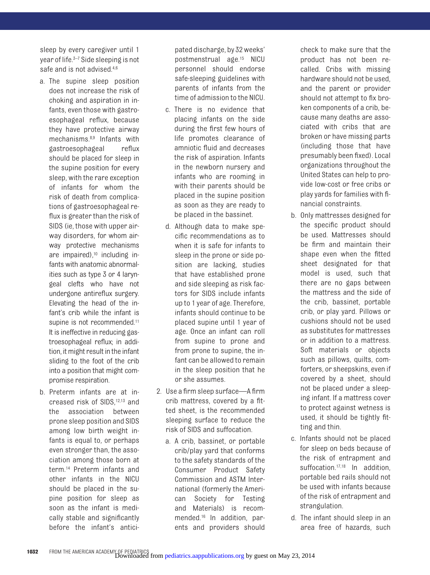sleep by every caregiver until 1 year of life[.3](#page-7-2)[–7](#page-7-3) Side sleeping is not safe and is not advised.<sup>4[,6](#page-7-5)</sup>

- a. The supine sleep position does not increase the risk of choking and aspiration in infants, even those with gastroesophageal reflux, because they have protective airway mechanisms[.8](#page-7-6)[,9](#page-8-0) Infants with gastroesophageal reflux should be placed for sleep in the supine position for every sleep, with the rare exception of infants for whom the risk of death from complications of gastroesophageal reflux is greater than the risk of SIDS (ie, those with upper airway disorders, for whom airway protective mechanisms are impaired), $10$  including infants with anatomic abnormalities such as type 3 or 4 laryngeal clefts who have not undergone antireflux surgery. Elevating the head of the infant's crib while the infant is supine is not recommended.<sup>11</sup> It is ineffective in reducing gastroesophageal reflux; in addition, it might result in the infant sliding to the foot of the crib into a position that might compromise respiration.
- b. Preterm infants are at increased risk of SIDS[,12](#page-8-3)[,13](#page-8-4) and the association between prone sleep position and SIDS among low birth weight infants is equal to, or perhaps even stronger than, the association among those born at term[.14](#page-8-5) Preterm infants and other infants in the NICU should be placed in the supine position for sleep as soon as the infant is medically stable and significantly before the infant's antici-

pated discharge, by 32 weeks' postmenstrual age[.15](#page-8-6) NICU personnel should endorse safe-sleeping guidelines with parents of infants from the time of admission to the NICU.

- c. There is no evidence that placing infants on the side during the first few hours of life promotes clearance of amniotic fluid and decreases the risk of aspiration. Infants in the newborn nursery and infants who are rooming in with their parents should be placed in the supine position as soon as they are ready to be placed in the bassinet.
- d. Although data to make specific recommendations as to when it is safe for infants to sleep in the prone or side position are lacking, studies that have established prone and side sleeping as risk factors for SIDS include infants up to 1 year of age. Therefore, infants should continue to be placed supine until 1 year of age. Once an infant can roll from supine to prone and from prone to supine, the infant can be allowed to remain in the sleep position that he or she assumes.
- 2. Use a firm sleep surface—A firm crib mattress, covered by a fitted sheet, is the recommended sleeping surface to reduce the risk of SIDS and suffocation.
	- a. A crib, bassinet, or portable crib/play yard that conforms to the safety standards of the Consumer Product Safety Commission and ASTM International (formerly the American Society for Testing and Materials) is recommended[.16](#page-8-7) In addition, parents and providers should

check to make sure that the product has not been recalled. Cribs with missing hardware should not be used, and the parent or provider should not attempt to fix broken components of a crib, because many deaths are associated with cribs that are broken or have missing parts (including those that have presumably been fixed). Local organizations throughout the United States can help to provide low-cost or free cribs or play yards for families with financial constraints.

- b. Only mattresses designed for the specific product should be used. Mattresses should be firm and maintain their shape even when the fitted sheet designated for that model is used, such that there are no gaps between the mattress and the side of the crib, bassinet, portable crib, or play yard. Pillows or cushions should not be used as substitutes for mattresses or in addition to a mattress. Soft materials or objects such as pillows, quilts, comforters, or sheepskins, even if covered by a sheet, should not be placed under a sleeping infant. If a mattress cover to protect against wetness is used, it should be tightly fitting and thin.
- c. Infants should not be placed for sleep on beds because of the risk of entrapment and suffocation.<sup>17,[18](#page-8-9)</sup> In addition. portable bed rails should not be used with infants because of the risk of entrapment and strangulation.
- d. The infant should sleep in an area free of hazards, such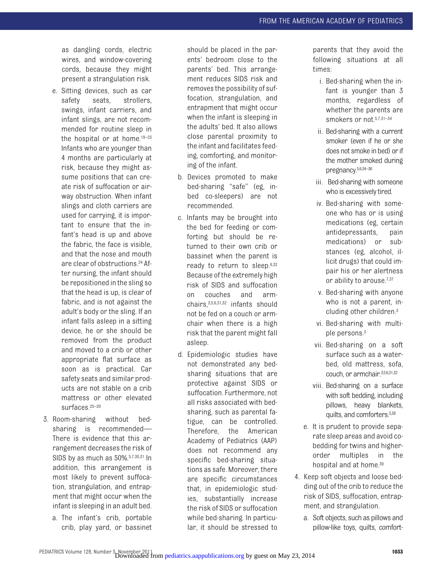as dangling cords, electric wires, and window-covering cords, because they might present a strangulation risk.

- e. Sitting devices, such as car safety seats, strollers, swings, infant carriers, and infant slings, are not recommended for routine sleep in the hospital or at home. $19-23$ Infants who are younger than 4 months are particularly at risk, because they might assume positions that can create risk of suffocation or airway obstruction. When infant slings and cloth carriers are used for carrying, it is important to ensure that the infant's head is up and above the fabric, the face is visible, and that the nose and mouth are clear of obstructions.<sup>24</sup> After nursing, the infant should be repositioned in the sling so that the head is up, is clear of fabric, and is not against the adult's body or the sling. If an infant falls asleep in a sitting device, he or she should be removed from the product and moved to a crib or other appropriate flat surface as soon as is practical. Car safety seats and similar products are not stable on a crib mattress or other elevated surfaces[.25](#page-8-13)[–29](#page-8-14)
- 3. Room-sharing without bedsharing is recommended— There is evidence that this arrangement decreases the risk of SIDS by as much as 50%[.5](#page-7-7)[,7](#page-7-3)[,30,](#page-8-15)[31](#page-8-16) In addition, this arrangement is most likely to prevent suffocation, strangulation, and entrapment that might occur when the infant is sleeping in an adult bed.
	- a. The infant's crib, portable crib, play yard, or bassinet

should be placed in the parents' bedroom close to the parents' bed. This arrangement reduces SIDS risk and removes the possibility of suffocation, strangulation, and entrapment that might occur when the infant is sleeping in the adults' bed. It also allows close parental proximity to the infant and facilitates feeding, comforting, and monitoring of the infant.

- b. Devices promoted to make bed-sharing "safe" (eg, inbed co-sleepers) are not recommended.
- c. Infants may be brought into the bed for feeding or comforting but should be returned to their own crib or bassinet when the parent is ready to return to sleep[.6](#page-7-5)[,32](#page-8-17) Because of the extremely high risk of SIDS and suffocation on couches and armchairs[,3](#page-7-2)[,5](#page-7-7)[,6,](#page-7-5)[31,](#page-8-16)[32](#page-8-17) infants should not be fed on a couch or armchair when there is a high risk that the parent might fall asleep.
- d. Epidemiologic studies have not demonstrated any bedsharing situations that are protective against SIDS or suffocation. Furthermore, not all risks associated with bedsharing, such as parental fatigue, can be controlled. Therefore, the American Academy of Pediatrics (AAP) does not recommend any specific bed-sharing situations as safe. Moreover, there are specific circumstances that, in epidemiologic studies, substantially increase the risk of SIDS or suffocation while bed-sharing. In particular, it should be stressed to

parents that they avoid the following situations at all times:

- i. Bed-sharing when the infant is younger than 3 months, regardless of whether the parents are smokers or not[.5](#page-7-7)[,7,](#page-7-3)[31–](#page-8-16)[34](#page-8-18)
- ii. Bed-sharing with a current smoker (even if he or she does not smoke in bed) or if the mother smoked during pregnanc[y.5](#page-7-7)[,6,](#page-7-5)[34](#page-8-18)[–36](#page-8-19)
- iii. Bed-sharing with someone who is excessively tired.
- iv. Bed-sharing with someone who has or is using medications (eg, certain antidepressants, pain medications) or substances (eg, alcohol, illicit drugs) that could impair his or her alertness or ability to arouse.<sup>7,[37](#page-8-20)</sup>
- v. Bed-sharing with anyone who is not a parent, including other children. $3$
- vi. Bed-sharing with multiple persons[.3](#page-7-2)
- vii. Bed-sharing on a soft surface such as a waterbed, old mattress, sofa, couch, or armchai[r.3](#page-7-2)[,5,](#page-7-7)[6,](#page-7-5)[31,](#page-8-16)[32](#page-8-17)
- viii. Bed-sharing on a surface with soft bedding, including pillows, heavy blankets, quilts, and comforter[s.3](#page-7-2)[,38](#page-8-21)
- e. It is prudent to provide separate sleep areas and avoid cobedding for twins and higherorder multiples in the hospital and at home.<sup>39</sup>
- 4. Keep soft objects and loose bedding out of the crib to reduce the risk of SIDS, suffocation, entrapment, and strangulation.
	- a. Soft objects, such as pillows and pillow-like toys, quilts, comfort-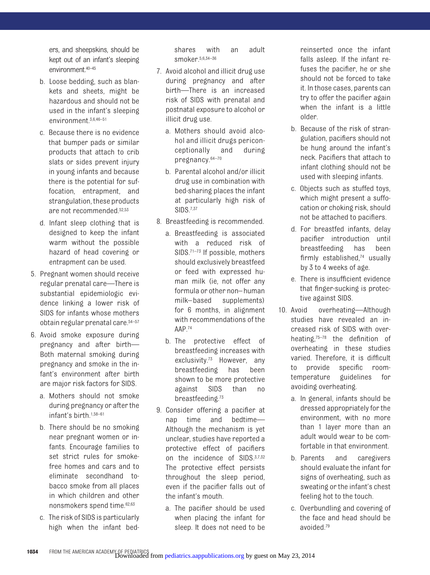ers, and sheepskins, should be kept out of an infant's sleeping environment[.40](#page-8-23)[–45](#page-8-24)

- b. Loose bedding, such as blankets and sheets, might be hazardous and should not be used in the infant's sleeping environment[.3](#page-7-2)[,6,](#page-7-5)[46–](#page-8-25)[51](#page-9-0)
- c. Because there is no evidence that bumper pads or similar products that attach to crib slats or sides prevent injury in young infants and because there is the potential for suffocation, entrapment, and strangulation, these products are not recommended[.52](#page-9-1)[,53](#page-9-2)
- d. Infant sleep clothing that is designed to keep the infant warm without the possible hazard of head covering or entrapment can be used.
- 5. Pregnant women should receive regular prenatal care—There is substantial epidemiologic evidence linking a lower risk of SIDS for infants whose mothers obtain regular prenatal care[.54](#page-9-3)[–57](#page-9-4)
- 6. Avoid smoke exposure during pregnancy and after birth— Both maternal smoking during pregnancy and smoke in the infant's environment after birth are major risk factors for SIDS.
	- a. Mothers should not smoke during pregnancy or after the infant's birth[.1](#page-7-0)[,58](#page-9-5)[–61](#page-9-6)
	- b. There should be no smoking near pregnant women or infants. Encourage families to set strict rules for smokefree homes and cars and to eliminate secondhand tobacco smoke from all places in which children and other nonsmokers spend time[.62](#page-9-7)[,63](#page-9-8)
	- c. The risk of SIDS is particularly high when the infant bed-

shares with an adult smoker[.5,](#page-7-7)[6](#page-7-5)[,34](#page-8-18)[–36](#page-8-19)

- 7. Avoid alcohol and illicit drug use during pregnancy and after birth—There is an increased risk of SIDS with prenatal and postnatal exposure to alcohol or illicit drug use.
	- a. Mothers should avoid alcohol and illicit drugs periconceptionally and during pregnancy[.64](#page-9-9)[–70](#page-9-10)
	- b. Parental alcohol and/or illicit drug use in combination with bed-sharing places the infant at particularly high risk of SIDS[.7,](#page-7-3)[37](#page-8-20)
- 8. Breastfeeding is recommended.
	- a. Breastfeeding is associated with a reduced risk of SIDS.<sup>71-73</sup> If possible, mothers should exclusively breastfeed or feed with expressed human milk (ie, not offer any formula or other non–human milk–based supplements) for 6 months, in alignment with recommendations of the AAP[.74](#page-9-13)
	- b. The protective effect of breastfeeding increases with exclusivity.<sup>73</sup> However, any breastfeeding has been shown to be more protective against SIDS than no breastfeeding[.73](#page-9-12)
- 9. Consider offering a pacifier at nap time and bedtime— Although the mechanism is yet unclear, studies have reported a protective effect of pacifiers on the incidence of SIDS. 3,[7](#page-7-3)[,32](#page-8-17) The protective effect persists throughout the sleep period, even if the pacifier falls out of the infant's mouth.
	- a. The pacifier should be used when placing the infant for sleep. It does not need to be

reinserted once the infant falls asleep. If the infant refuses the pacifier, he or she should not be forced to take it. In those cases, parents can try to offer the pacifier again when the infant is a little older.

- b. Because of the risk of strangulation, pacifiers should not be hung around the infant's neck. Pacifiers that attach to infant clothing should not be used with sleeping infants.
- c. Objects such as stuffed toys, which might present a suffocation or choking risk, should not be attached to pacifiers.
- d. For breastfed infants, delay pacifier introduction until breastfeeding has been firmly established[,74](#page-9-13) usually by 3 to 4 weeks of age.
- e. There is insufficient evidence that finger-sucking is protective against SIDS.
- 10. Avoid overheating—Although studies have revealed an increased risk of SIDS with overheating[,75–](#page-9-14)[78](#page-9-15) the definition of overheating in these studies varied. Therefore, it is difficult to provide specific roomtemperature guidelines for avoiding overheating.
	- a. In general, infants should be dressed appropriately for the environment, with no more than 1 layer more than an adult would wear to be comfortable in that environment.
	- b. Parents and caregivers should evaluate the infant for signs of overheating, such as sweating or the infant's chest feeling hot to the touch.
	- c. Overbundling and covering of the face and head should be avoided[.79](#page-9-16)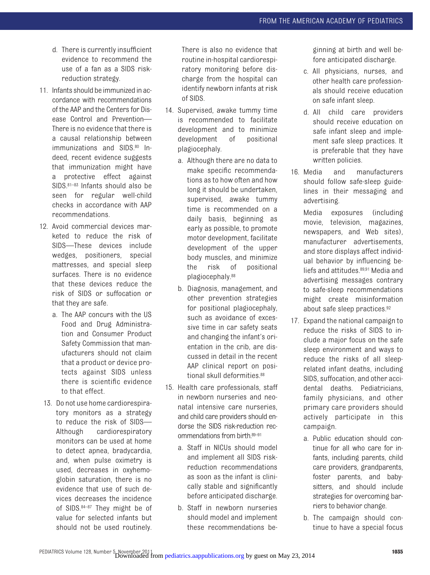- d. There is currently insufficient evidence to recommend the use of a fan as a SIDS riskreduction strategy.
- 11. Infants should be immunized in accordance with recommendations of the AAP and the Centers for Disease Control and Prevention— There is no evidence that there is a causal relationship between immunizations and SIDS.<sup>80</sup> Indeed, recent evidence suggests that immunization might have a protective effect against SIDS.<sup>81–[83](#page-9-19)</sup> Infants should also be seen for regular well-child checks in accordance with AAP recommendations.
- 12. Avoid commercial devices marketed to reduce the risk of SIDS—These devices include wedges, positioners, special mattresses, and special sleep surfaces. There is no evidence that these devices reduce the risk of SIDS or suffocation or that they are safe.
	- a. The AAP concurs with the US Food and Drug Administration and Consumer Product Safety Commission that manufacturers should not claim that a product or device protects against SIDS unless there is scientific evidence to that effect.
- 13. Do not use home cardiorespiratory monitors as a strategy to reduce the risk of SIDS— Although cardiorespiratory monitors can be used at home to detect apnea, bradycardia, and, when pulse oximetry is used, decreases in oxyhemoglobin saturation, there is no evidence that use of such devices decreases the incidence of SIDS[.84](#page-9-20)[–87](#page-10-0) They might be of value for selected infants but should not be used routinely.

There is also no evidence that routine in-hospital cardiorespiratory monitoring before discharge from the hospital can identify newborn infants at risk of SIDS.

- 14. Supervised, awake tummy time is recommended to facilitate development and to minimize development of positional plagiocephaly.
	- a. Although there are no data to make specific recommendations as to how often and how long it should be undertaken, supervised, awake tummy time is recommended on a daily basis, beginning as early as possible, to promote motor development, facilitate development of the upper body muscles, and minimize the risk of positional plagiocephaly[.88](#page-10-1)
	- b. Diagnosis, management, and other prevention strategies for positional plagiocephaly, such as avoidance of excessive time in car safety seats and changing the infant's orientation in the crib, are discussed in detail in the recent AAP clinical report on positional skull deformities.<sup>88</sup>
- 15. Health care professionals, staff in newborn nurseries and neonatal intensive care nurseries, and child care providers should endorse the SIDS risk-reduction rec-ommendations from birth<sup>89–[91](#page-10-3)</sup>
	- a. Staff in NICUs should model and implement all SIDS riskreduction recommendations as soon as the infant is clinically stable and significantly before anticipated discharge.
	- b. Staff in newborn nurseries should model and implement these recommendations be-

ginning at birth and well before anticipated discharge.

- c. All physicians, nurses, and other health care professionals should receive education on safe infant sleep.
- d. All child care providers should receive education on safe infant sleep and implement safe sleep practices. It is preferable that they have written policies.
- 16. Media and manufacturers should follow safe-sleep guidelines in their messaging and advertising.

Media exposures (including movie, television, magazines, newspapers, and Web sites), manufacturer advertisements, and store displays affect individual behavior by influencing be-liefs and attitudes.<sup>89[,91](#page-10-3)</sup> Media and advertising messages contrary to safe-sleep recommendations might create misinformation about safe sleep practices[.92](#page-10-4)

- 17. Expand the national campaign to reduce the risks of SIDS to include a major focus on the safe sleep environment and ways to reduce the risks of all sleeprelated infant deaths, including SIDS, suffocation, and other accidental deaths. Pediatricians, family physicians, and other primary care providers should actively participate in this campaign.
	- a. Public education should continue for all who care for infants, including parents, child care providers, grandparents, foster parents, and babysitters, and should include strategies for overcoming barriers to behavior change.
	- b. The campaign should continue to have a special focus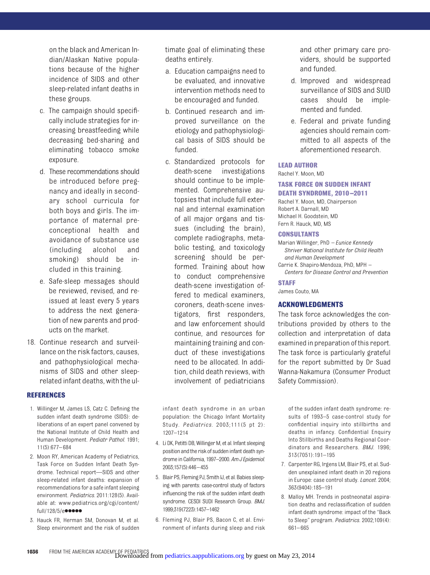on the black and American Indian/Alaskan Native populations because of the higher incidence of SIDS and other sleep-related infant deaths in these groups.

- c. The campaign should specifically include strategies for increasing breastfeeding while decreasing bed-sharing and eliminating tobacco smoke exposure.
- d. These recommendations should be introduced before pregnancy and ideally in secondary school curricula for both boys and girls. The importance of maternal preconceptional health and avoidance of substance use (including alcohol and smoking) should be included in this training.
- e. Safe-sleep messages should be reviewed, revised, and reissued at least every 5 years to address the next generation of new parents and products on the market.
- 18. Continue research and surveillance on the risk factors, causes, and pathophysiological mechanisms of SIDS and other sleeprelated infant deaths, with the ul-

#### **REFERENCES**

- <span id="page-7-0"></span>1. Willinger M, James LS, Catz C. Defining the sudden infant death syndrome (SIDS): deliberations of an expert panel convened by the National Institute of Child Health and Human Development. *Pediatr Pathol*. 1991; 11(5):677– 684
- <span id="page-7-1"></span>2. Moon RY, American Academy of Pediatrics Task Force on Sudden Infant Death Syndrome. Technical report—SIDS and other sleep-related infant deaths: expansion of recommendations for a safe infant sleeping environment. *Pediatrics*. 2011:128(5). Available at: [www.pediatrics.org/cgi/content/](www.pediatrics.org/cgi/content/full/128/5/eXXX) [full/128/5/e](www.pediatrics.org/cgi/content/full/128/5/eXXX)●●●●●
- <span id="page-7-2"></span>3. Hauck FR, Herman SM, Donovan M, et al. Sleep environment and the risk of sudden

timate goal of eliminating these deaths entirely.

- a. Education campaigns need to be evaluated, and innovative intervention methods need to be encouraged and funded.
- b. Continued research and improved surveillance on the etiology and pathophysiological basis of SIDS should be funded.
- c. Standardized protocols for death-scene investigations should continue to be implemented. Comprehensive autopsies that include full external and internal examination of all major organs and tissues (including the brain), complete radiographs, metabolic testing, and toxicology screening should be performed. Training about how to conduct comprehensive death-scene investigation offered to medical examiners, coroners, death-scene investigators, first responders, and law enforcement should continue, and resources for maintaining training and conduct of these investigations need to be allocated. In addition, child death reviews, with involvement of pediatricians

and other primary care providers, should be supported and funded.

- d. Improved and widespread surveillance of SIDS and SUID cases should be implemented and funded.
- e. Federal and private funding agencies should remain committed to all aspects of the aforementioned research.

#### **LEAD AUTHOR**

Rachel Y. Moon, MD

#### **TASK FORCE ON SUDDEN INFANT DEATH SYNDROME, 2010 –2011**

Rachel Y. Moon, MD, Chairperson Robert A. Darnall, MD Michael H. Goodstein, MD Fern R. Hauck, MD, MS

#### **CONSULTANTS**

- Marian Willinger, PhD  *Eunice Kennedy Shriver National Institute for Child Health and Human Development*
- Carrie K. Shapiro-Mendoza, PhD, MPH *– Centers for Disease Control and Prevention*

#### **STAFF**

James Couto, MA

#### **ACKNOWLEDGMENTS**

The task force acknowledges the contributions provided by others to the collection and interpretation of data examined in preparation of this report. The task force is particularly grateful for the report submitted by Dr Suad Wanna-Nakamura (Consumer Product Safety Commission).

infant death syndrome in an urban population: the Chicago Infant Mortality Study. *Pediatrics*. 2003;111(5 pt 2): 1207–1214

- <span id="page-7-4"></span>4. Li DK, Petitti DB, Willinger M, et al. Infant sleeping position and the risk of sudden infant death syndrome in California, 1997–2000. *Am J Epidemiol*. 2003;157(5):446–455
- <span id="page-7-7"></span>5. Blair PS, Fleming PJ, Smith IJ, et al. Babies sleeping with parents: case-control study of factors influencing the risk of the sudden infant death syndrome. CESDI SUDI Research Group. *BMJ*. 1999;319(7223):1457–1462
- <span id="page-7-5"></span>6. Fleming PJ, Blair PS, Bacon C, et al. Environment of infants during sleep and risk

of the sudden infant death syndrome: results of 1993–5 case-control study for confidential inquiry into stillbirths and deaths in infancy. Confidential Enquiry Into Stillbirths and Deaths Regional Coordinators and Researchers. *BMJ*. 1996; 313(7051):191–195

- <span id="page-7-3"></span>7. Carpenter RG, Irgens LM, Blair PS, et al. Sudden unexplained infant death in 20 regions in Europe: case control study. *Lancet*. 2004; 363(9404):185–191
- <span id="page-7-6"></span>8. Malloy MH. Trends in postneonatal aspiration deaths and reclassification of sudden infant death syndrome: impact of the "Back to Sleep" program. *Pediatrics*. 2002;109(4): 661– 665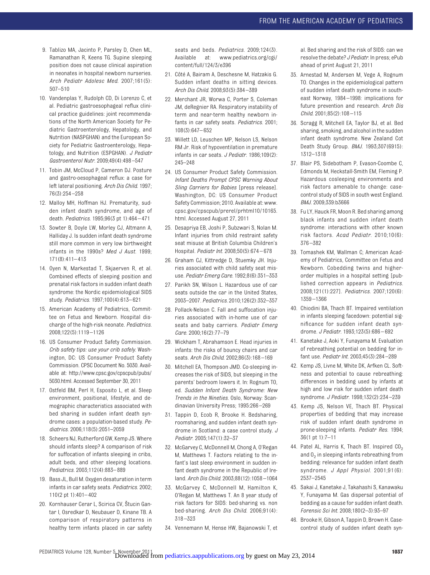- <span id="page-8-0"></span>9. Tablizo MA, Jacinto P, Parsley D, Chen ML, Ramanathan R, Keens TG. Supine sleeping position does not cause clinical aspiration in neonates in hospital newborn nurseries. *Arch Pediatr Adolesc Med*. 2007;161(5): 507–510
- <span id="page-8-1"></span>10. Vandenplas Y, Rudolph CD, Di Lorenzo C, et al. Pediatric gastroesophageal reflux clinical practice guidelines: joint recommendations of the North American Society for Pediatric Gastroenterology, Hepatology, and Nutrition (NASPGHAN) and the European Society for Pediatric Gastroenterology, Hepatology, and Nutrition (ESPGHAN). *J Pediatr Gastroenterol Nutr*. 2009;49(4):498 –547
- <span id="page-8-2"></span>11. Tobin JM, McCloud P, Cameron DJ. Posture and gastro-oesophageal reflux: a case for left lateral positioning. *Arch Dis Child*. 1997; 76(3):254 –258
- <span id="page-8-3"></span>12. Malloy MH, Hoffman HJ. Prematurity, sudden infant death syndrome, and age of death. *Pediatrics*. 1995;96(3 pt 1):464 – 471
- <span id="page-8-4"></span>13. Sowter B, Doyle LW, Morley CJ, Altmann A, Halliday J. Is sudden infant death syndrome still more common in very low birthweight infants in the 1990s? *Med J Aust*. 1999; 171(8):411– 413
- <span id="page-8-5"></span>14. Oyen N, Markestad T, Skjaerven R, et al. Combined effects of sleeping position and prenatal risk factors in sudden infant death syndrome: the Nordic epidemiological SIDS study. *Pediatrics*. 1997;100(4):613– 621
- <span id="page-8-6"></span>15. American Academy of Pediatrics, Committee on Fetus and Newborn. Hospital discharge of the high-risk neonate. *Pediatrics*. 2008;122(5):1119 –1126
- <span id="page-8-7"></span>16. US Consumer Product Safety Commission. *Crib safety tips: use your crib safely*. Washington, DC: US Consumer Product Safety Commission. CPSC Document No. 5030. Available at: [http://www.cpsc.gov/cpscpub/pubs/](www.cpsc.gov/cpscpub/pubs/5030.html) [5030.html.](www.cpsc.gov/cpscpub/pubs/5030.html) Accessed September 30, 2011
- <span id="page-8-8"></span>17. Ostfeld BM, Perl H, Esposito L, et al. Sleep environment, positional, lifestyle, and demographic characteristics associated with bed sharing in sudden infant death syndrome cases: a population-based study. *Pediatrics*. 2006;118(5):2051–2059
- <span id="page-8-9"></span>18. Scheers NJ, Rutherford GW, Kemp JS. Where should infants sleep? A comparison of risk for suffocation of infants sleeping in cribs, adult beds, and other sleeping locations. *Pediatrics*. 2003;112(4):883– 889
- <span id="page-8-10"></span>19. Bass JL, Bull M. Oxygen desaturation in term infants in car safety seats. *Pediatrics*. 2002; 110(2 pt 1):401– 402
- 20. Kornhauser Cerar L, Scirica CV, Štucin Gantar I, Osredkar D, Neubauer D, Kinane TB. A comparison of respiratory patterns in healthy term infants placed in car safety

seats and beds. *Pediatrics*. 2009;124(3). Available at: [www.pediatrics.org/cgi/](www.pediatrics.org/cgi/content/full/124/3/e396) [content/full/124/3/e396](www.pediatrics.org/cgi/content/full/124/3/e396)

- 21. Côté A, Bairam A, Deschesne M, Hatzakis G. Sudden infant deaths in sitting devices. *Arch Dis Child*. 2008;93(5):384 –389
- 22. Merchant JR, Worwa C, Porter S, Coleman JM, deRegnier RA. Respiratory instability of term and near-term healthy newborn infants in car safety seats. *Pediatrics*. 2001; 108(3):647– 652
- <span id="page-8-11"></span>23. Willett LD, Leuschen MP, Nelson LS, Nelson RM Jr. Risk of hypoventilation in premature infants in car seats. *J Pediatr*. 1986;109(2): 245–248
- <span id="page-8-12"></span>24. US Consumer Product Safety Commission. *Infant Deaths Prompt CPSC Warning About Sling Carriers for Babies* [press release]. Washington, DC: US Consumer Product Safety Commission; 2010. Available at: [www.](www.cpsc.gov/cpscpub/prerel/prhtml10/10165.html) [cpsc.gov/cpscpub/prerel/prhtml10/10165.](www.cpsc.gov/cpscpub/prerel/prhtml10/10165.html) [html.](www.cpsc.gov/cpscpub/prerel/prhtml10/10165.html) Accessed August 27, 2011
- <span id="page-8-13"></span>25. Desapriya EB, Joshi P, Subzwari S, Nolan M. Infant injuries from child restraint safety seat misuse at British Columbia Children's Hospital. *Pediatr Int*. 2008;50(5):674 – 678
- 26. Graham CJ, Kittredge D, Stuemky JH. Injuries associated with child safety seat misuse. *Pediatr Emerg Care*. 1992;8(6):351–353
- 27. Parikh SN, Wilson L. Hazardous use of car seats outside the car in the United States, 2003–2007. *Pediatrics*. 2010;126(2):352–357
- 28. Pollack-Nelson C. Fall and suffocation injuries associated with in-home use of car seats and baby carriers. *Pediatr Emerg Care*. 2000;16(2):77–79
- <span id="page-8-14"></span>29. Wickham T, Abrahamson E. Head injuries in infants: the risks of bouncy chairs and car seats. *Arch Dis Child*. 2002;86(3):168 –169
- <span id="page-8-15"></span>30. Mitchell EA, Thompson JMD. Co-sleeping increases the risk of SIDS, but sleeping in the parents' bedroom lowers it. In: Rognum TO, ed. *Sudden Infant Death Syndrome: New Trends in the Nineties*. Oslo, Norway: Scandinavian University Press; 1995:266 –269
- <span id="page-8-16"></span>31. Tappin D, Ecob R, Brooke H. Bedsharing, roomsharing, and sudden infant death syndrome in Scotland: a case control study. *J Pediatr*. 2005;147(1):32–37
- <span id="page-8-17"></span>32. McGarvey C, McDonnell M, Chong A, O'Regan M, Matthews T. Factors relating to the infant's last sleep environment in sudden infant death syndrome in the Republic of Ireland. *Arch Dis Child*. 2003;88(12):1058 –1064
- 33. McGarvey C, McDonnell M, Hamilton K, O'Regan M, Matthews T. An 8 year study of risk factors for SIDS: bed-sharing vs. non bed-sharing. *Arch Dis Child*. 2006;91(4): 318 –323
- <span id="page-8-18"></span>34. Vennemann M, Hense HW, Bajanowski T, et

al. Bed sharing and the risk of SIDS: can we resolve the debate? *J Pediatr*. In press; ePub ahead of print August 21, 2011

- 35. Arnestad M, Andersen M, Vege A, Rognum TO. Changes in the epidemiological pattern of sudden infant death syndrome in southeast Norway, 1984 –1998: implications for future prevention and research. *Arch Dis Child*. 2001;85(2):108 –115
- <span id="page-8-19"></span>36. Scragg R, Mitchell EA, Taylor BJ, et al. Bed sharing, smoking, and alcohol in the sudden infant death syndrome. New Zealand Cot Death Study Group. *BMJ*. 1993;307(6915): 1312–1318
- <span id="page-8-20"></span>37. Blair PS, Sidebotham P, Evason-Coombe C, Edmonds M, Heckstall-Smith EM, Fleming P. Hazardous cosleeping environments and risk factors amenable to change: casecontrol study of SIDS in south west England. *BMJ*. 2009;339:b3666
- <span id="page-8-21"></span>38. Fu LY, Hauck FR, Moon R. Bed sharing among black infants and sudden infant death syndrome: interactions with other known risk factors. *Acad Pediatr*. 2010;10(6): 376 –382
- <span id="page-8-22"></span>39. Tomashek KM, Wallman C; American Academy of Pediatrics, Committee on Fetus and Newborn. Cobedding twins and higherorder multiples in a hospital setting [published correction appears in *Pediatrics*. 2008;121(1):227]. *Pediatrics*. 2007;120(6): 1359 –1366
- <span id="page-8-23"></span>40. Chiodini BA, Thach BT. Impaired ventilation in infants sleeping facedown: potential significance for sudden infant death syndrome. *J Pediatr*. 1993;123(5):686 – 692
- 41. Kanetake J, Aoki Y, Funayama M. Evaluation of rebreathing potential on bedding for infant use. *Pediatr Int*. 2003;45(3):284 –289
- 42. Kemp JS, Livne M, White DK, Arfken CL. Softness and potential to cause rebreathing: differences in bedding used by infants at high and low risk for sudden infant death syndrome. *J Pediatr*. 1998;132(2):234 –239
- 43. Kemp JS, Nelson VE, Thach BT. Physical properties of bedding that may increase risk of sudden infant death syndrome in prone-sleeping infants. *Pediatr Res*. 1994; 36(1 pt 1):7–11
- 44. Patel AL, Harris K, Thach BT. Inspired  $CO<sub>2</sub>$ and  $0<sub>o</sub>$  in sleeping infants rebreathing from bedding: relevance for sudden infant death syndrome. *J Appl Physiol*. 2001;91(6): 2537–2545
- <span id="page-8-24"></span>45. Sakai J, Kanetake J, Takahashi S, Kanawaku Y, Funayama M. Gas dispersal potential of bedding as a cause for sudden infant death. *Forensic Sci Int*. 2008;180(2–3):93–97
- <span id="page-8-25"></span>46. Brooke H, Gibson A, Tappin D, Brown H. Casecontrol study of sudden infant death syn-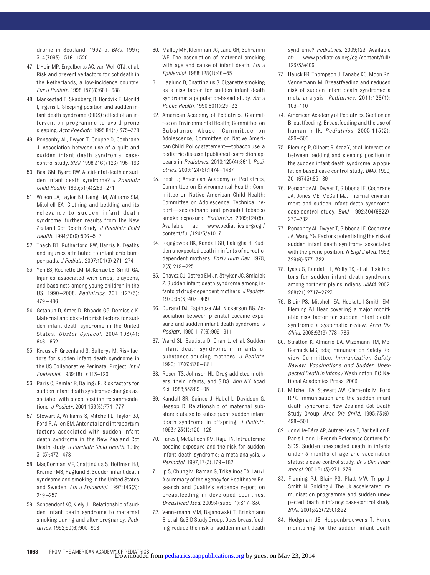drome in Scotland, 1992–5. *BMJ*. 1997; 314(7093):1516 –1520

- 47. L'Hoir MP, Engelberts AC, van Well GTJ, et al. Risk and preventive factors for cot death in the Netherlands, a low-incidence country. *Eur J Pediatr*. 1998;157(8):681– 688
- 48. Markestad T, Skadberg B, Hordvik E, Morild I, Irgens L. Sleeping position and sudden infant death syndrome (SIDS): effect of an intervention programme to avoid prone sleeping. *Acta Paediatr*. 1995;84(4):375–378
- 49. Ponsonby AL, Dwyer T, Couper D, Cochrane J. Association between use of a quilt and sudden infant death syndrome: casecontrol study. *BMJ*. 1998;316(7126):195–196
- 50. Beal SM, Byard RW. Accidental death or sudden infant death syndrome? *J Paediatr Child Health*. 1995;31(4):269 –271
- <span id="page-9-0"></span>51. Wilson CA, Taylor BJ, Laing RM, Williams SM, Mitchell EA. Clothing and bedding and its relevance to sudden infant death syndrome: further results from the New Zealand Cot Death Study. *J Paediatr Child Health*. 1994;30(6):506 –512
- <span id="page-9-1"></span>52. Thach BT, Rutherford GW, Harris K. Deaths and injuries attributed to infant crib bumper pads. *J Pediatr*. 2007;151(3):271–274
- <span id="page-9-2"></span>53. Yeh ES, Rochette LM, McKenzie LB, Smith GA. Injuries associated with cribs, playpens, and bassinets among young children in the US, 1990 –2008. *Pediatrics*. 2011;127(3): 479 – 486
- <span id="page-9-3"></span>54. Getahun D, Amre D, Rhoads GG, Demissie K. Maternal and obstetric risk factors for sudden infant death syndrome in the United States. *Obstet Gynecol*. 2004;103(4): 646 – 652
- 55. Kraus JF, Greenland S, Bulterys M. Risk factors for sudden infant death syndrome in the US Collaborative Perinatal Project. *Int J Epidemiol*. 1989;18(1):113–120
- 56. Paris C, Remler R, Daling JR. Risk factors for sudden infant death syndrome: changes associated with sleep position recommendations. *J Pediatr*. 2001;139(6):771–777
- <span id="page-9-4"></span>57. Stewart A, Williams S, Mitchell E, Taylor BJ, Ford R, Allen EM. Antenatal and intrapartum factors associated with sudden infant death syndrome in the New Zealand Cot Death study. *J Paediatr Child Health*. 1995; 31(5):473– 478
- <span id="page-9-5"></span>58. MacDorman MF, Cnattingius S, Hoffman HJ, Kramer MS, Haglund B. Sudden infant death syndrome and smoking in the United States and Sweden. *Am J Epidemiol*. 1997;146(3): 249 –257
- 59. Schoendorf KC, Kiely JL. Relationship of sudden infant death syndrome to maternal smoking during and after pregnancy. *Pediatrics*. 1992;90(6):905–908
- 60. Malloy MH, Kleinman JC, Land GH, Schramm WF. The association of maternal smoking with age and cause of infant death. *Am J Epidemiol*. 1988;128(1):46 –55
- <span id="page-9-6"></span>61. Haglund B, Cnattingius S. Cigarette smoking as a risk factor for sudden infant death syndrome: a population-based study. *Am J Public Health*. 1990;80(1):29 –32
- <span id="page-9-7"></span>62. American Academy of Pediatrics, Committee on Environmental Health; Committee on Substance Abuse; Committee on Adolescence; Committee on Native American Child. Policy statement—tobacco use: a pediatric disease [published correction appears in *Pediatrics*. 2010;125(4):861]. *Pediatrics*. 2009;124(5):1474 –1487
- <span id="page-9-8"></span>63. Best D; American Academy of Pediatrics, Committee on Environmental Health; Committee on Native American Child Health; Committee on Adolescence. Technical report—secondhand and prenatal tobacco smoke exposure. *Pediatrics*. 2009;124(5). Available at: [www.pediatrics.org/cgi/](www.pediatrics.org/cgi/content/full/124/5/e1017) [content/full/124/5/e1017](www.pediatrics.org/cgi/content/full/124/5/e1017)
- <span id="page-9-9"></span>64. Rajegowda BK, Kandall SR, Falciglia H. Sudden unexpected death in infants of narcoticdependent mothers. *Early Hum Dev*. 1978; 2(3):219 –225
- 65. Chavez CJ, Ostrea EM Jr, Stryker JC, Smialek Z. Sudden infant death syndrome among infants of drug-dependent mothers. *J Pediatr*. 1979;95(3):407– 409
- 66. Durand DJ, Espinoza AM, Nickerson BG. Association between prenatal cocaine exposure and sudden infant death syndrome. *J Pediatr*. 1990;117(6):909 –911
- 67. Ward SL, Bautista D, Chan L, et al. Sudden infant death syndrome in infants of substance-abusing mothers. *J Pediatr*. 1990;117(6):876 – 881
- 68. Rosen TS, Johnson HL. Drug-addicted mothers, their infants, and SIDS. *Ann N* Y Acad Sci. 1988;533:89 –95
- 69. Kandall SR, Gaines J, Habel L, Davidson G, Jessop D. Relationship of maternal substance abuse to subsequent sudden infant death syndrome in offspring. *J Pediatr*. 1993;123(1):120 –126
- <span id="page-9-10"></span>70. Fares I, McCulloch KM, Raju TN. Intrauterine cocaine exposure and the risk for sudden infant death syndrome: a meta-analysis. *J Perinatol*. 1997;17(3):179 –182
- <span id="page-9-11"></span>71. Ip S, Chung M, Raman G, Trikalinos TA, Lau J. A summary of the Agency for Healthcare Research and Quality's evidence report on breastfeeding in developed countries. *Breastfeed Med*. 2009;4(suppl 1):S17–S30
- 72. Vennemann MM, Bajanowski T, Brinkmann B, et al; GeSID Study Group. Does breastfeeding reduce the risk of sudden infant death

syndrome? *Pediatrics*. 2009;123. Available at: [www.pediatrics.org/cgi/content/full/](www.pediatrics.org/cgi/content/full/123/3/e406) [123/3/e406](www.pediatrics.org/cgi/content/full/123/3/e406)

- <span id="page-9-12"></span>73. Hauck FR, Thompson J, Tanabe KO, Moon RY, Vennemann M. Breastfeeding and reduced risk of sudden infant death syndrome: a meta-analysis. *Pediatrics*. 2011;128(1): 103–110
- <span id="page-9-13"></span>74. American Academy of Pediatrics, Section on Breastfeeding. Breastfeeding and the use of human milk. *Pediatrics*. 2005;115(2): 496 –506
- <span id="page-9-14"></span>75. Fleming P, Gilbert R, Azaz Y, et al. Interaction between bedding and sleeping position in the sudden infant death syndrome: a population based case-control study. *BMJ*. 1990; 301(6743):85– 89
- 76. Ponsonby AL, Dwyer T, Gibbons LE, Cochrane JA, Jones ME, McCall MJ. Thermal environment and sudden infant death syndrome: case-control study. *BMJ*. 1992;304(6822): 277–282
- 77. Ponsonby AL, Dwyer T, Gibbons LE, Cochrane JA, Wang YG. Factors potentiating the risk of sudden infant death syndrome associated with the prone position. *N Engl J Med*. 1993; 329(6):377–382
- <span id="page-9-15"></span>78. Iyasu S, Randall LL, Welty TK, et al. Risk factors for sudden infant death syndrome among northern plains Indians. *JAMA*. 2002; 288(21):2717–2723
- <span id="page-9-16"></span>79. Blair PS, Mitchell EA, Heckstall-Smith EM, Fleming PJ. Head covering: a major modifiable risk factor for sudden infant death syndrome: a systematic review. *Arch Dis Child*. 2008;93(9):778 –783
- <span id="page-9-17"></span>80. Stratton K, Almario DA, Wizemann TM, Mc-Cormick MC, eds; Immunization Safety Review Committee. *Immunization Safety Review: Vaccinations and Sudden Unexpected Death in Infancy*. Washington, DC: National Academies Press; 2003
- <span id="page-9-18"></span>81. Mitchell EA, Stewart AW, Clements M, Ford RPK. Immunisation and the sudden infant death syndrome. New Zealand Cot Death Study Group. *Arch Dis Child*. 1995;73(6): 498 –501
- 82. Jonville-Béra AP, Autret-Leca E, Barbeillon F, Paris-Llado J; French Reference Centers for SIDS. Sudden unexpected death in infants under 3 months of age and vaccination status: a case-control study. *Br J Clin Pharmacol*. 2001;51(3):271–276
- <span id="page-9-19"></span>83. Fleming PJ, Blair PS, Platt MW, Tripp J, Smith IJ, Golding J. The UK accelerated immunisation programme and sudden unexpected death in infancy: case-control study. *BMJ*. 2001;322(7290):822
- <span id="page-9-20"></span>84. Hodgman JE, Hoppenbrouwers T. Home monitoring for the sudden infant death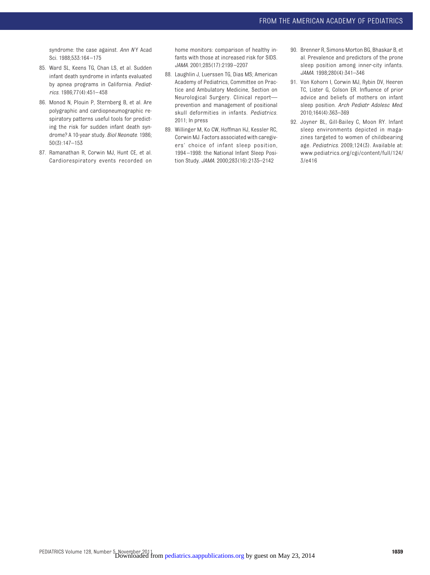syndrome: the case against. Ann NY Acad Sci. 1988;533:164 –175

- 85. Ward SL, Keens TG, Chan LS, et al. Sudden infant death syndrome in infants evaluated by apnea programs in California. *Pediatrics*. 1986;77(4):451– 458
- 86. Monod N, Plouin P, Sternberg B, et al. Are polygraphic and cardiopneumographic respiratory patterns useful tools for predicting the risk for sudden infant death syndrome? A 10-year study. *Biol Neonate*. 1986; 50(3):147–153
- <span id="page-10-0"></span>87. Ramanathan R, Corwin MJ, Hunt CE, et al. Cardiorespiratory events recorded on

home monitors: comparison of healthy infants with those at increased risk for SIDS. *JAMA*. 2001;285(17):2199 –2207

- <span id="page-10-1"></span>88. Laughlin J, Luerssen TG, Dias MS; American Academy of Pediatrics, Committee on Practice and Ambulatory Medicine, Section on Neurological Surgery. Clinical report prevention and management of positional skull deformities in infants. *Pediatrics*. 2011; In press
- <span id="page-10-2"></span>89. Willinger M, Ko CW, Hoffman HJ, Kessler RC, Corwin MJ. Factors associated with caregivers' choice of infant sleep position, 1994 –1998: the National Infant Sleep Position Study. *JAMA*. 2000;283(16):2135–2142
- 90. Brenner R, Simons-Morton BG, Bhaskar B, et al. Prevalence and predictors of the prone sleep position among inner-city infants. *JAMA*. 1998;280(4):341–346
- <span id="page-10-3"></span>91. Von Kohorn I, Corwin MJ, Rybin DV, Heeren TC, Lister G, Colson ER. Influence of prior advice and beliefs of mothers on infant sleep position. *Arch Pediatr Adolesc Med*. 2010;164(4):363–369
- <span id="page-10-4"></span>92. Joyner BL, Gill-Bailey C, Moon RY. Infant sleep environments depicted in magazines targeted to women of childbearing age. *Pediatrics*. 2009;124(3). Available at: [www.pediatrics.org/cgi/content/full/124/](www.pediatrics.org/cgi/content/full/124/3/e416) [3/e416](www.pediatrics.org/cgi/content/full/124/3/e416)